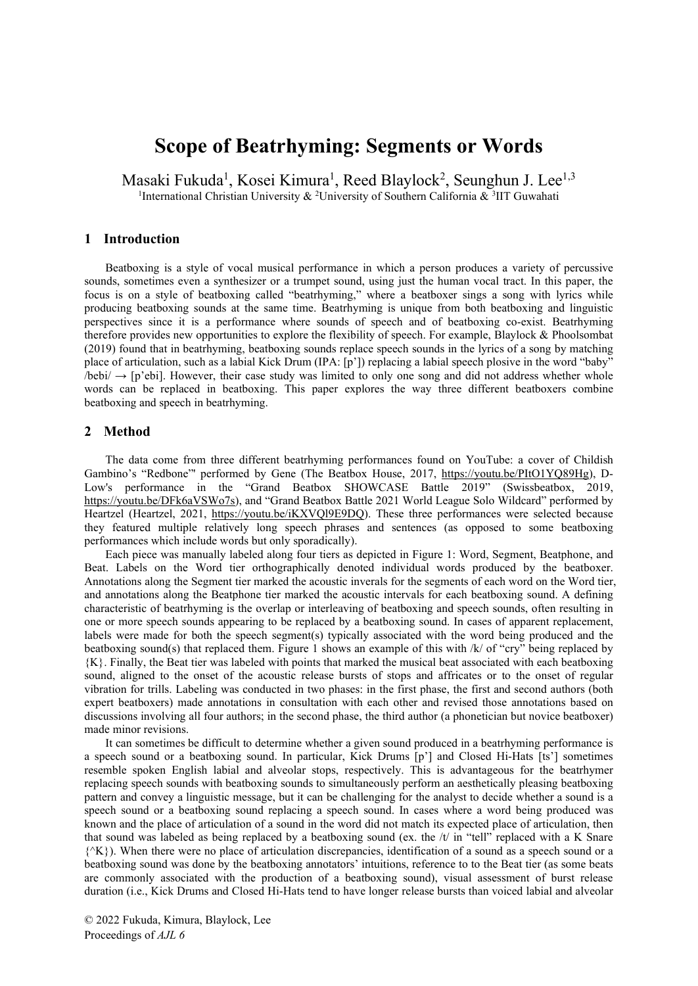# **Scope of Beatrhyming: Segments or Words**

Masaki Fukuda<sup>1</sup>, Kosei Kimura<sup>1</sup>, Reed Blaylock<sup>2</sup>, Seunghun J. Lee<sup>1,3</sup> <sup>1</sup>International Christian University & <sup>2</sup>University of Southern California & <sup>3</sup>IIT Guwahati

#### **1 Introduction**

Beatboxing is a style of vocal musical performance in which a person produces a variety of percussive sounds, sometimes even a synthesizer or a trumpet sound, using just the human vocal tract. In this paper, the focus is on a style of beatboxing called "beatrhyming," where a beatboxer sings a song with lyrics while producing beatboxing sounds at the same time. Beatrhyming is unique from both beatboxing and linguistic perspectives since it is a performance where sounds of speech and of beatboxing co-exist. Beatrhyming therefore provides new opportunities to explore the flexibility of speech. For example, Blaylock & Phoolsombat (2019) found that in beatrhyming, beatboxing sounds replace speech sounds in the lyrics of a song by matching place of articulation, such as a labial Kick Drum (IPA: [p']) replacing a labial speech plosive in the word "baby"  $\Delta$ bebi/  $\rightarrow$  [p'ebi]. However, their case study was limited to only one song and did not address whether whole words can be replaced in beatboxing. This paper explores the way three different beatboxers combine beatboxing and speech in beatrhyming.

#### **2 Method**

The data come from three different beatrhyming performances found on YouTube: a cover of Childish Gambino's "Redbone"' performed by Gene (The Beatbox House, 2017,<https://youtu.be/PItO1YQ89Hg>), D-Low's performance in the "Grand Beatbox SHOWCASE Battle 2019" (Swissbeatbox, 2019, [https://youtu.be/DFk6aVSWo7s\)](https://youtu.be/DFk6aVSWo7s), and "Grand Beatbox Battle 2021 World League Solo Wildcard" performed by Heartzel (Heartzel, 2021,<https://youtu.be/iKXVQl9E9DQ>). These three performances were selected because they featured multiple relatively long speech phrases and sentences (as opposed to some beatboxing performances which include words but only sporadically).

Each piece was manually labeled along four tiers as depicted in Figure 1: Word, Segment, Beatphone, and Beat. Labels on the Word tier orthographically denoted individual words produced by the beatboxer. Annotations along the Segment tier marked the acoustic inverals for the segments of each word on the Word tier, and annotations along the Beatphone tier marked the acoustic intervals for each beatboxing sound. A defining characteristic of beatrhyming is the overlap or interleaving of beatboxing and speech sounds, often resulting in one or more speech sounds appearing to be replaced by a beatboxing sound. In cases of apparent replacement, labels were made for both the speech segment(s) typically associated with the word being produced and the beatboxing sound(s) that replaced them. Figure 1 shows an example of this with /k/ of "cry" being replaced by {K}. Finally, the Beat tier was labeled with points that marked the musical beat associated with each beatboxing sound, aligned to the onset of the acoustic release bursts of stops and affricates or to the onset of regular vibration for trills. Labeling was conducted in two phases: in the first phase, the first and second authors (both expert beatboxers) made annotations in consultation with each other and revised those annotations based on discussions involving all four authors; in the second phase, the third author (a phonetician but novice beatboxer) made minor revisions.

It can sometimes be difficult to determine whether a given sound produced in a beatrhyming performance is a speech sound or a beatboxing sound. In particular, Kick Drums [p'] and Closed Hi-Hats [ts'] sometimes resemble spoken English labial and alveolar stops, respectively. This is advantageous for the beatrhymer replacing speech sounds with beatboxing sounds to simultaneously perform an aesthetically pleasing beatboxing pattern and convey a linguistic message, but it can be challenging for the analyst to decide whether a sound is a speech sound or a beatboxing sound replacing a speech sound. In cases where a word being produced was known and the place of articulation of a sound in the word did not match its expected place of articulation, then that sound was labeled as being replaced by a beatboxing sound (ex. the  $/t$  in "tell" replaced with a K Snare  ${^{\prime\prime}}(K)$ . When there were no place of articulation discrepancies, identification of a sound as a speech sound or a beatboxing sound was done by the beatboxing annotators' intuitions, reference to to the Beat tier (as some beats are commonly associated with the production of a beatboxing sound), visual assessment of burst release duration (i.e., Kick Drums and Closed Hi-Hats tend to have longer release bursts than voiced labial and alveolar

© 2022 Fukuda, Kimura, Blaylock, Lee Proceedings of *AJL 6*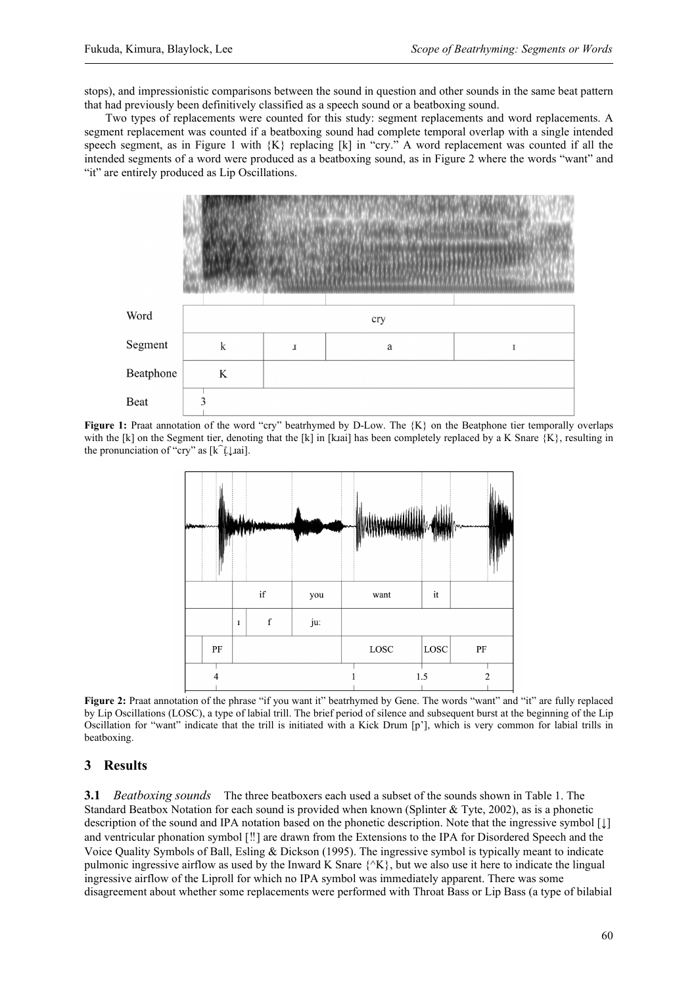stops), and impressionistic comparisons between the sound in question and other sounds in the same beat pattern that had previously been definitively classified as a speech sound or a beatboxing sound.

Two types of replacements were counted for this study: segment replacements and word replacements. A segment replacement was counted if a beatboxing sound had complete temporal overlap with a single intended speech segment, as in Figure 1 with {K} replacing [k] in "cry." A word replacement was counted if all the intended segments of a word were produced as a beatboxing sound, as in Figure 2 where the words "want" and "it" are entirely produced as Lip Oscillations.



**Figure 1:** Praat annotation of the word "cry" beatrhymed by D-Low. The  ${K}$  on the Beatphone tier temporally overlaps with the [k] on the Segment tier, denoting that the [k] in [kɪai] has been completely replaced by a K Snare  $\{K\}$ , resulting in the pronunciation of "cry" as [k͡ʟ̝̊↓ɹai].



Figure 2: Praat annotation of the phrase "if you want it" beatrhymed by Gene. The words "want" and "it" are fully replaced by Lip Oscillations (LOSC), a type of labial trill. The brief period of silence and subsequent burst at the beginning of the Lip Oscillation for "want" indicate that the trill is initiated with a Kick Drum [p'], which is very common for labial trills in beatboxing.

# **3 Results**

**3.1** *Beatboxing sounds* The three beatboxers each used a subset of the sounds shown in Table 1. The Standard Beatbox Notation for each sound is provided when known (Splinter & Tyte, 2002), as is a phonetic description of the sound and IPA notation based on the phonetic description. Note that the ingressive symbol [↓] and ventricular phonation symbol [‼] are drawn from the Extensions to the IPA for Disordered Speech and the Voice Quality Symbols of Ball, Esling & Dickson (1995). The ingressive symbol is typically meant to indicate pulmonic ingressive airflow as used by the Inward K Snare  $\{X\}$ , but we also use it here to indicate the lingual ingressive airflow of the Liproll for which no IPA symbol was immediately apparent. There was some disagreement about whether some replacements were performed with Throat Bass or Lip Bass (a type of bilabial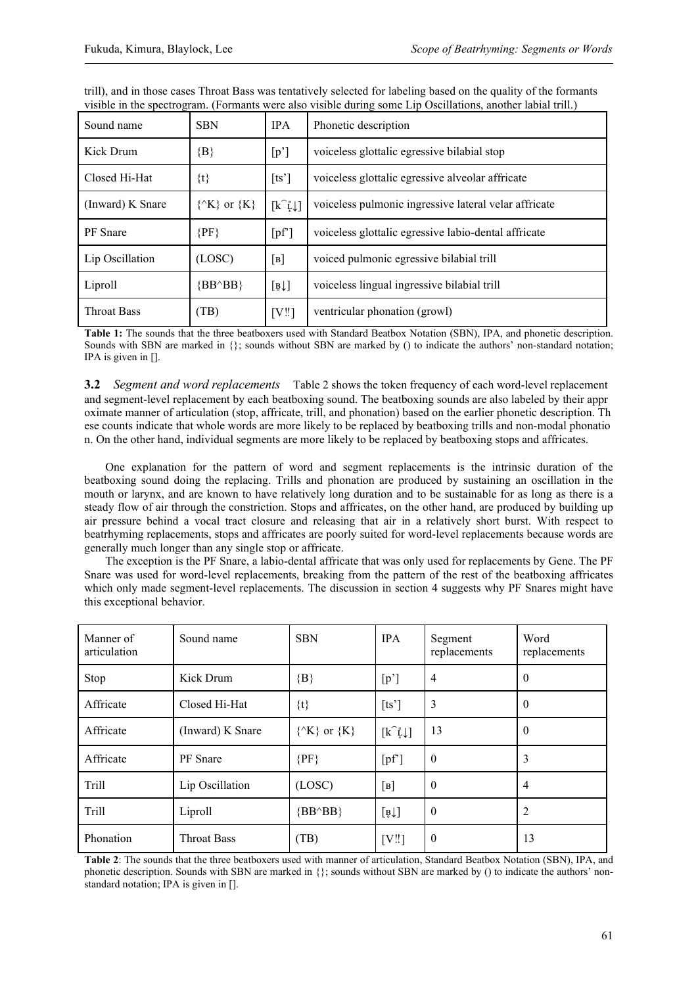| Sound name         | <b>SBN</b>                  | <b>IPA</b>                   | Phonetic description                                  |  |
|--------------------|-----------------------------|------------------------------|-------------------------------------------------------|--|
| Kick Drum          | $\{B\}$                     | [p']                         | voiceless glottalic egressive bilabial stop           |  |
| Closed Hi-Hat      | $\{t\}$                     | [ts']                        | voiceless glottalic egressive alveolar affricate      |  |
| (Inward) K Snare   | $\{^{\wedge}K\}$ or $\{K\}$ | $[k^{\hat{}}\hat{L}\hat{L}]$ | voiceless pulmonic ingressive lateral velar affricate |  |
| <b>PF</b> Snare    | ${PF}$                      | [pf]                         | voiceless glottalic egressive labio-dental affricate  |  |
| Lip Oscillation    | (LOSC)                      | [B]                          | voiced pulmonic egressive bilabial trill              |  |
| Liproll            | $\{BB^{\wedge}BB\}$         | $\left[\frac{1}{2}\right]$   | voiceless lingual ingressive bilabial trill           |  |
| <b>Throat Bass</b> | (TB)                        | [V!!]                        | ventricular phonation (growl)                         |  |

trill), and in those cases Throat Bass was tentatively selected for labeling based on the quality of the formants visible in the spectrogram. (Formants were also visible during some Lip Oscillations, another labial trill.)

**Table 1:** The sounds that the three beatboxers used with Standard Beatbox Notation (SBN), IPA, and phonetic description. Sounds with SBN are marked in  $\{\}$ ; sounds without SBN are marked by () to indicate the authors' non-standard notation; IPA is given in [].

**3.2** *Segment and word replacements* Table 2 shows the token frequency of each word-level replacement and segment-level replacement by each beatboxing sound. The beatboxing sounds are also labeled by their appr oximate manner of articulation (stop, affricate, trill, and phonation) based on the earlier phonetic description. Th ese counts indicate that whole words are more likely to be replaced by beatboxing trills and non-modal phonatio n. On the other hand, individual segments are more likely to be replaced by beatboxing stops and affricates.

One explanation for the pattern of word and segment replacements is the intrinsic duration of the beatboxing sound doing the replacing. Trills and phonation are produced by sustaining an oscillation in the mouth or larynx, and are known to have relatively long duration and to be sustainable for as long as there is a steady flow of air through the constriction. Stops and affricates, on the other hand, are produced by building up air pressure behind a vocal tract closure and releasing that air in a relatively short burst. With respect to beatrhyming replacements, stops and affricates are poorly suited for word-level replacements because words are generally much longer than any single stop or affricate.

The exception is the PF Snare, a labio-dental affricate that was only used for replacements by Gene. The PF Snare was used for word-level replacements, breaking from the pattern of the rest of the beatboxing affricates which only made segment-level replacements. The discussion in section 4 suggests why PF Snares might have this exceptional behavior.

| Manner of<br>articulation | Sound name         | <b>SBN</b>                | <b>IPA</b>                                                       | Segment<br>replacements | Word<br>replacements |
|---------------------------|--------------------|---------------------------|------------------------------------------------------------------|-------------------------|----------------------|
| Stop                      | Kick Drum          | ${B}$                     | [p']                                                             | $\overline{4}$          | $\theta$             |
| Affricate                 | Closed Hi-Hat      | $\{t\}$                   | [ts']                                                            | 3                       | $\theta$             |
| Affricate                 | (Inward) K Snare   | $\{\hat{K}\}\$ or $\{K\}$ | $\begin{bmatrix} k^{\hat{}} \downarrow \downarrow \end{bmatrix}$ | 13                      | $\overline{0}$       |
| Affricate                 | <b>PF</b> Snare    | ${PF}$                    | [pf]                                                             | $\overline{0}$          | 3                    |
| Trill                     | Lip Oscillation    | (LOSC)                    | [B]                                                              | $\overline{0}$          | $\overline{4}$       |
| Trill                     | Liproll            | ${BB^{\wedge}BB}$         | $\left[\frac{1}{2}\right]$                                       | $\theta$                | 2                    |
| Phonation                 | <b>Throat Bass</b> | (TB)                      | [V!!]                                                            | $\boldsymbol{0}$        | 13                   |

**Table 2**: The sounds that the three beatboxers used with manner of articulation, Standard Beatbox Notation (SBN), IPA, and phonetic description. Sounds with SBN are marked in {}; sounds without SBN are marked by () to indicate the authors' nonstandard notation; IPA is given in [].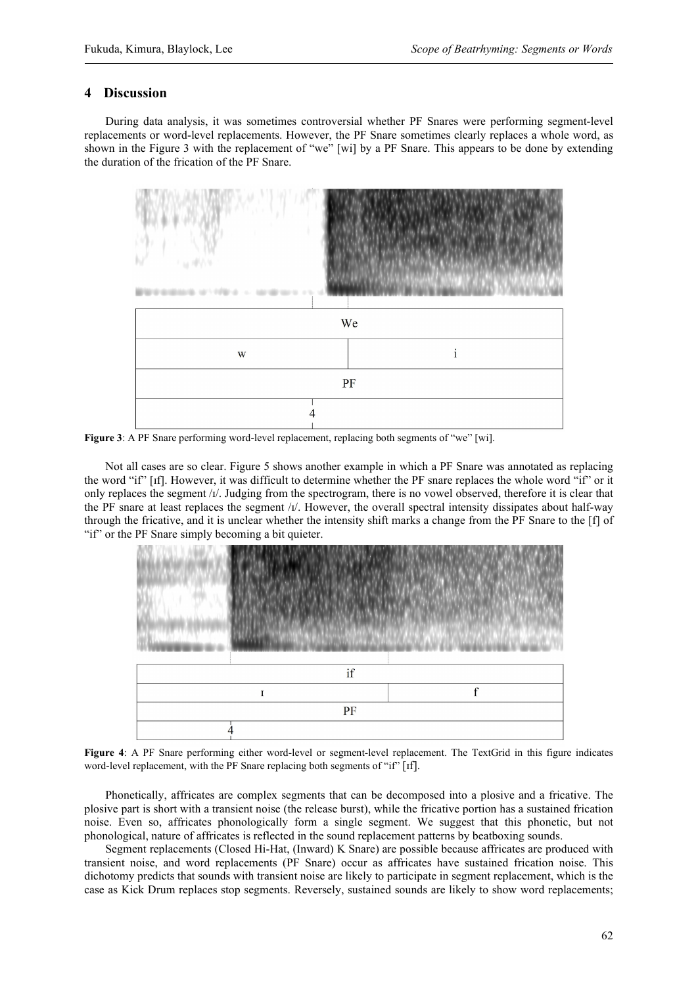#### **4 Discussion**

During data analysis, it was sometimes controversial whether PF Snares were performing segment-level replacements or word-level replacements. However, the PF Snare sometimes clearly replaces a whole word, as shown in the Figure 3 with the replacement of "we" [wi] by a PF Snare. This appears to be done by extending the duration of the frication of the PF Snare.



Figure 3: A PF Snare performing word-level replacement, replacing both segments of "we" [wi].

Not all cases are so clear. Figure 5 shows another example in which a PF Snare was annotated as replacing the word "if" [ɪf]. However, it was difficult to determine whether the PF snare replaces the whole word "if" or it only replaces the segment  $/t$ . Judging from the spectrogram, there is no vowel observed, therefore it is clear that the PF snare at least replaces the segment  $/t/$ . However, the overall spectral intensity dissipates about half-way through the fricative, and it is unclear whether the intensity shift marks a change from the PF Snare to the [f] of "if" or the PF Snare simply becoming a bit quieter.



**Figure 4**: A PF Snare performing either word-level or segment-level replacement. The TextGrid in this figure indicates word-level replacement, with the PF Snare replacing both segments of "if" [ɪf].

Phonetically, affricates are complex segments that can be decomposed into a plosive and a fricative. The plosive part is short with a transient noise (the release burst), while the fricative portion has a sustained frication noise. Even so, affricates phonologically form a single segment. We suggest that this phonetic, but not phonological, nature of affricates is reflected in the sound replacement patterns by beatboxing sounds.

Segment replacements (Closed Hi-Hat, (Inward) K Snare) are possible because affricates are produced with transient noise, and word replacements (PF Snare) occur as affricates have sustained frication noise. This dichotomy predicts that sounds with transient noise are likely to participate in segment replacement, which is the case as Kick Drum replaces stop segments. Reversely, sustained sounds are likely to show word replacements;